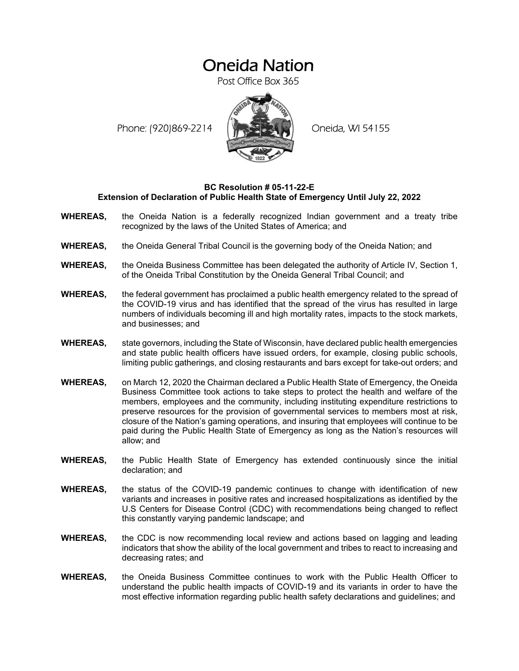## Oneida Nation

Post Office Box 365

Phone: (920)869-2214 (XXXXXXX) Oneida, WI 54155



## **BC Resolution # 05-11-22-E Extension of Declaration of Public Health State of Emergency Until July 22, 2022**

- **WHEREAS,** the Oneida Nation is a federally recognized Indian government and a treaty tribe recognized by the laws of the United States of America; and
- **WHEREAS,** the Oneida General Tribal Council is the governing body of the Oneida Nation; and
- **WHEREAS,** the Oneida Business Committee has been delegated the authority of Article IV, Section 1, of the Oneida Tribal Constitution by the Oneida General Tribal Council; and
- **WHEREAS,** the federal government has proclaimed a public health emergency related to the spread of the COVID-19 virus and has identified that the spread of the virus has resulted in large numbers of individuals becoming ill and high mortality rates, impacts to the stock markets, and businesses; and
- **WHEREAS,** state governors, including the State of Wisconsin, have declared public health emergencies and state public health officers have issued orders, for example, closing public schools, limiting public gatherings, and closing restaurants and bars except for take-out orders; and
- **WHEREAS,** on March 12, 2020 the Chairman declared a Public Health State of Emergency, the Oneida Business Committee took actions to take steps to protect the health and welfare of the members, employees and the community, including instituting expenditure restrictions to preserve resources for the provision of governmental services to members most at risk, closure of the Nation's gaming operations, and insuring that employees will continue to be paid during the Public Health State of Emergency as long as the Nation's resources will allow; and
- **WHEREAS,** the Public Health State of Emergency has extended continuously since the initial declaration; and
- **WHEREAS,** the status of the COVID-19 pandemic continues to change with identification of new variants and increases in positive rates and increased hospitalizations as identified by the U.S Centers for Disease Control (CDC) with recommendations being changed to reflect this constantly varying pandemic landscape; and
- **WHEREAS,** the CDC is now recommending local review and actions based on lagging and leading indicators that show the ability of the local government and tribes to react to increasing and decreasing rates; and
- **WHEREAS,** the Oneida Business Committee continues to work with the Public Health Officer to understand the public health impacts of COVID-19 and its variants in order to have the most effective information regarding public health safety declarations and guidelines; and